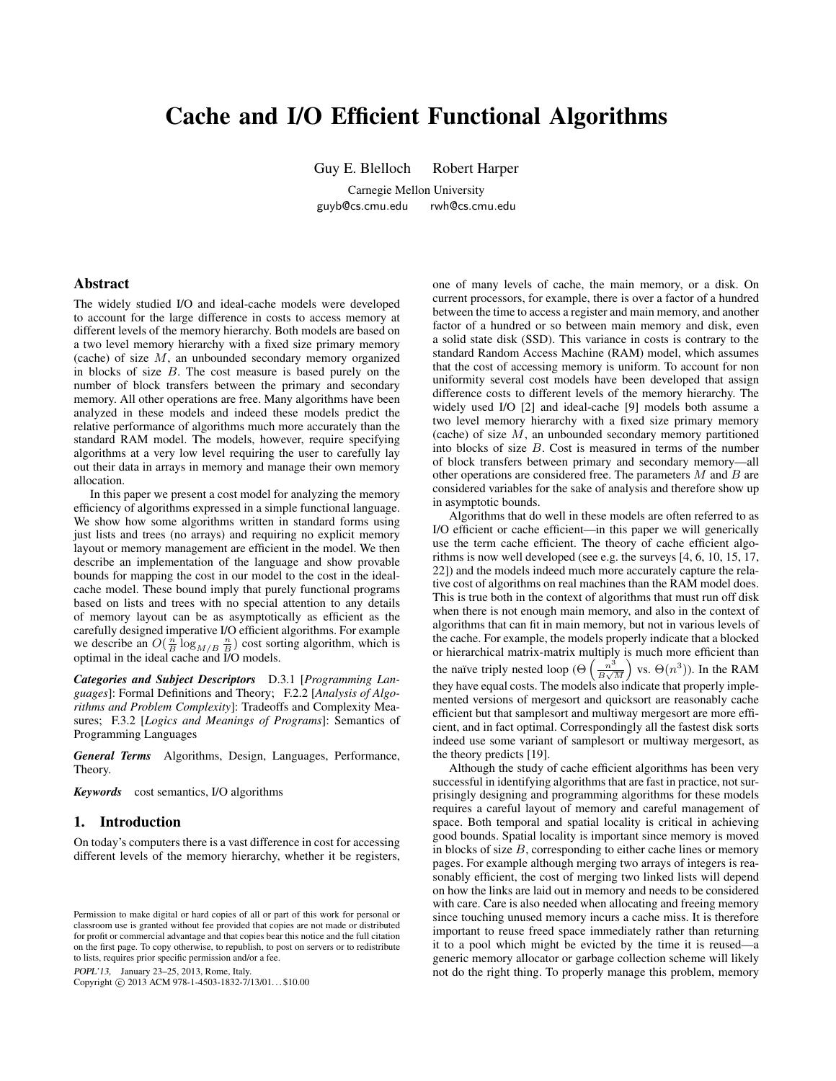# Cache and I/O Efficient Functional Algorithms

Guy E. Blelloch Robert Harper

Carnegie Mellon University guyb@cs.cmu.edu rwh@cs.cmu.edu

# Abstract

The widely studied I/O and ideal-cache models were developed to account for the large difference in costs to access memory at different levels of the memory hierarchy. Both models are based on a two level memory hierarchy with a fixed size primary memory (cache) of size  $M$ , an unbounded secondary memory organized in blocks of size B. The cost measure is based purely on the number of block transfers between the primary and secondary memory. All other operations are free. Many algorithms have been analyzed in these models and indeed these models predict the relative performance of algorithms much more accurately than the standard RAM model. The models, however, require specifying algorithms at a very low level requiring the user to carefully lay out their data in arrays in memory and manage their own memory allocation.

In this paper we present a cost model for analyzing the memory efficiency of algorithms expressed in a simple functional language. We show how some algorithms written in standard forms using just lists and trees (no arrays) and requiring no explicit memory layout or memory management are efficient in the model. We then describe an implementation of the language and show provable bounds for mapping the cost in our model to the cost in the idealcache model. These bound imply that purely functional programs based on lists and trees with no special attention to any details of memory layout can be as asymptotically as efficient as the carefully designed imperative I/O efficient algorithms. For example we describe an  $O(\frac{n}{B} \log_{M/B} \frac{n}{B})$  cost sorting algorithm, which is optimal in the ideal cache and I/O models.

*Categories and Subject Descriptors* D.3.1 [*Programming Languages*]: Formal Definitions and Theory; F.2.2 [*Analysis of Algorithms and Problem Complexity*]: Tradeoffs and Complexity Measures; F.3.2 [*Logics and Meanings of Programs*]: Semantics of Programming Languages

*General Terms* Algorithms, Design, Languages, Performance, Theory.

*Keywords* cost semantics, I/O algorithms

## 1. Introduction

On today's computers there is a vast difference in cost for accessing different levels of the memory hierarchy, whether it be registers,

POPL'13, January 23–25, 2013, Rome, Italy.

Copyright © 2013 ACM 978-1-4503-1832-7/13/01... \$10.00

one of many levels of cache, the main memory, or a disk. On current processors, for example, there is over a factor of a hundred between the time to access a register and main memory, and another factor of a hundred or so between main memory and disk, even a solid state disk (SSD). This variance in costs is contrary to the standard Random Access Machine (RAM) model, which assumes that the cost of accessing memory is uniform. To account for non uniformity several cost models have been developed that assign difference costs to different levels of the memory hierarchy. The widely used I/O [2] and ideal-cache [9] models both assume a two level memory hierarchy with a fixed size primary memory (cache) of size  $M$ , an unbounded secondary memory partitioned into blocks of size  $B$ . Cost is measured in terms of the number of block transfers between primary and secondary memory—all other operations are considered free. The parameters  $M$  and  $B$  are considered variables for the sake of analysis and therefore show up in asymptotic bounds.

Algorithms that do well in these models are often referred to as I/O efficient or cache efficient—in this paper we will generically use the term cache efficient. The theory of cache efficient algorithms is now well developed (see e.g. the surveys [4, 6, 10, 15, 17, 22]) and the models indeed much more accurately capture the relative cost of algorithms on real machines than the RAM model does. This is true both in the context of algorithms that must run off disk when there is not enough main memory, and also in the context of algorithms that can fit in main memory, but not in various levels of the cache. For example, the models properly indicate that a blocked or hierarchical matrix-matrix multiply is much more efficient than the naïve triply nested loop ( $\Theta\left(\frac{n^3}{R}\right)$  $\left(\frac{n^3}{B\sqrt{M}}\right)$  vs.  $\Theta(n^3)$ ). In the RAM they have equal costs. The models also indicate that properly implemented versions of mergesort and quicksort are reasonably cache efficient but that samplesort and multiway mergesort are more efficient, and in fact optimal. Correspondingly all the fastest disk sorts indeed use some variant of samplesort or multiway mergesort, as the theory predicts [19].

Although the study of cache efficient algorithms has been very successful in identifying algorithms that are fast in practice, not surprisingly designing and programming algorithms for these models requires a careful layout of memory and careful management of space. Both temporal and spatial locality is critical in achieving good bounds. Spatial locality is important since memory is moved in blocks of size  $B$ , corresponding to either cache lines or memory pages. For example although merging two arrays of integers is reasonably efficient, the cost of merging two linked lists will depend on how the links are laid out in memory and needs to be considered with care. Care is also needed when allocating and freeing memory since touching unused memory incurs a cache miss. It is therefore important to reuse freed space immediately rather than returning it to a pool which might be evicted by the time it is reused—a generic memory allocator or garbage collection scheme will likely not do the right thing. To properly manage this problem, memory

Permission to make digital or hard copies of all or part of this work for personal or classroom use is granted without fee provided that copies are not made or distributed for profit or commercial advantage and that copies bear this notice and the full citation on the first page. To copy otherwise, to republish, to post on servers or to redistribute to lists, requires prior specific permission and/or a fee.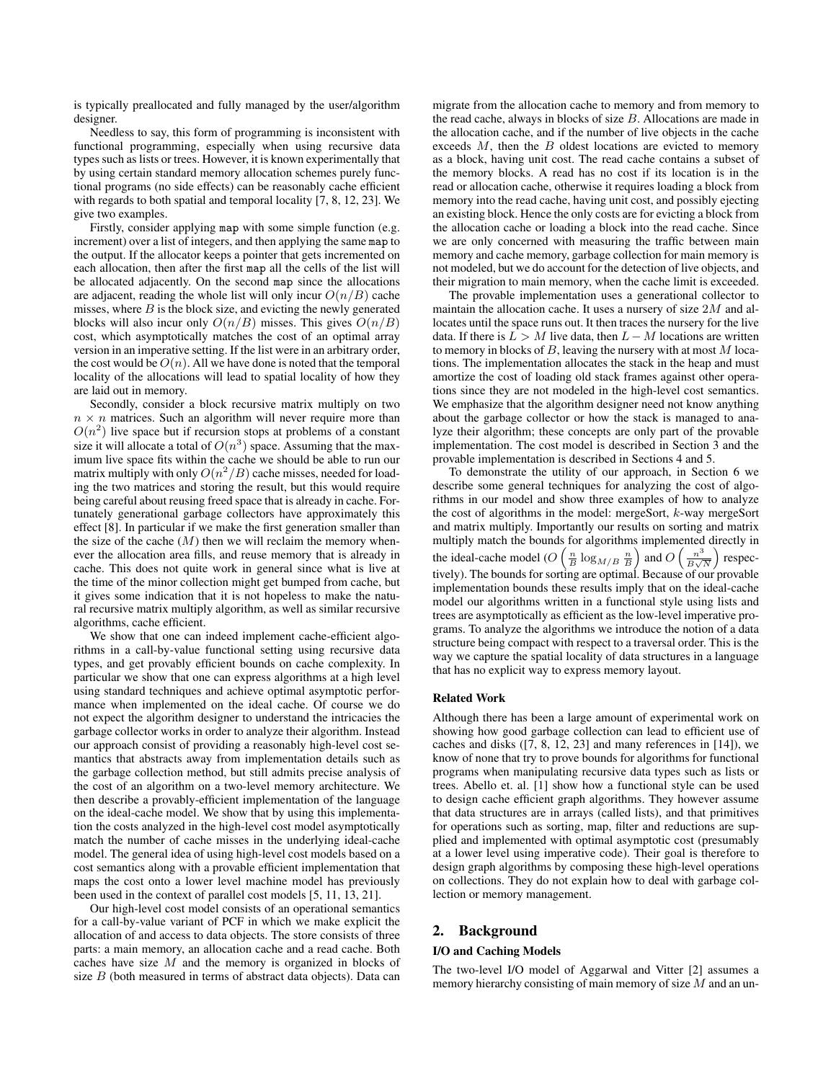is typically preallocated and fully managed by the user/algorithm designer.

Needless to say, this form of programming is inconsistent with functional programming, especially when using recursive data types such as lists or trees. However, it is known experimentally that by using certain standard memory allocation schemes purely functional programs (no side effects) can be reasonably cache efficient with regards to both spatial and temporal locality [7, 8, 12, 23]. We give two examples.

Firstly, consider applying map with some simple function (e.g. increment) over a list of integers, and then applying the same map to the output. If the allocator keeps a pointer that gets incremented on each allocation, then after the first map all the cells of the list will be allocated adjacently. On the second map since the allocations are adjacent, reading the whole list will only incur  $O(n/B)$  cache misses, where  $B$  is the block size, and evicting the newly generated blocks will also incur only  $O(n/B)$  misses. This gives  $O(n/B)$ cost, which asymptotically matches the cost of an optimal array version in an imperative setting. If the list were in an arbitrary order, the cost would be  $O(n)$ . All we have done is noted that the temporal locality of the allocations will lead to spatial locality of how they are laid out in memory.

Secondly, consider a block recursive matrix multiply on two  $n \times n$  matrices. Such an algorithm will never require more than  $O(n^2)$  live space but if recursion stops at problems of a constant size it will allocate a total of  $O(n^3)$  space. Assuming that the maximum live space fits within the cache we should be able to run our matrix multiply with only  $O(n^2/B)$  cache misses, needed for loading the two matrices and storing the result, but this would require being careful about reusing freed space that is already in cache. Fortunately generational garbage collectors have approximately this effect [8]. In particular if we make the first generation smaller than the size of the cache  $(M)$  then we will reclaim the memory whenever the allocation area fills, and reuse memory that is already in cache. This does not quite work in general since what is live at the time of the minor collection might get bumped from cache, but it gives some indication that it is not hopeless to make the natural recursive matrix multiply algorithm, as well as similar recursive algorithms, cache efficient.

We show that one can indeed implement cache-efficient algorithms in a call-by-value functional setting using recursive data types, and get provably efficient bounds on cache complexity. In particular we show that one can express algorithms at a high level using standard techniques and achieve optimal asymptotic performance when implemented on the ideal cache. Of course we do not expect the algorithm designer to understand the intricacies the garbage collector works in order to analyze their algorithm. Instead our approach consist of providing a reasonably high-level cost semantics that abstracts away from implementation details such as the garbage collection method, but still admits precise analysis of the cost of an algorithm on a two-level memory architecture. We then describe a provably-efficient implementation of the language on the ideal-cache model. We show that by using this implementation the costs analyzed in the high-level cost model asymptotically match the number of cache misses in the underlying ideal-cache model. The general idea of using high-level cost models based on a cost semantics along with a provable efficient implementation that maps the cost onto a lower level machine model has previously been used in the context of parallel cost models [5, 11, 13, 21].

Our high-level cost model consists of an operational semantics for a call-by-value variant of PCF in which we make explicit the allocation of and access to data objects. The store consists of three parts: a main memory, an allocation cache and a read cache. Both caches have size  $M$  and the memory is organized in blocks of size  $B$  (both measured in terms of abstract data objects). Data can

migrate from the allocation cache to memory and from memory to the read cache, always in blocks of size  $B$ . Allocations are made in the allocation cache, and if the number of live objects in the cache exceeds  $M$ , then the  $B$  oldest locations are evicted to memory as a block, having unit cost. The read cache contains a subset of the memory blocks. A read has no cost if its location is in the read or allocation cache, otherwise it requires loading a block from memory into the read cache, having unit cost, and possibly ejecting an existing block. Hence the only costs are for evicting a block from the allocation cache or loading a block into the read cache. Since we are only concerned with measuring the traffic between main memory and cache memory, garbage collection for main memory is not modeled, but we do account for the detection of live objects, and their migration to main memory, when the cache limit is exceeded.

The provable implementation uses a generational collector to maintain the allocation cache. It uses a nursery of size  $2M$  and allocates until the space runs out. It then traces the nursery for the live data. If there is  $L > M$  live data, then  $L - M$  locations are written to memory in blocks of  $B$ , leaving the nursery with at most  $M$  locations. The implementation allocates the stack in the heap and must amortize the cost of loading old stack frames against other operations since they are not modeled in the high-level cost semantics. We emphasize that the algorithm designer need not know anything about the garbage collector or how the stack is managed to analyze their algorithm; these concepts are only part of the provable implementation. The cost model is described in Section 3 and the provable implementation is described in Sections 4 and 5.

To demonstrate the utility of our approach, in Section 6 we describe some general techniques for analyzing the cost of algorithms in our model and show three examples of how to analyze the cost of algorithms in the model: mergeSort, k-way mergeSort and matrix multiply. Importantly our results on sorting and matrix multiply match the bounds for algorithms implemented directly in the ideal-cache model (O  $\left(\frac{n}{B}\log_{M/B}\frac{n}{B}\right)$  and  $O\left(\frac{n^3}{B\sqrt{2}}\right)$  $\frac{n^3}{B\sqrt{N}}$  respectively). The bounds for sorting are optimal. Because of our provable implementation bounds these results imply that on the ideal-cache model our algorithms written in a functional style using lists and trees are asymptotically as efficient as the low-level imperative programs. To analyze the algorithms we introduce the notion of a data structure being compact with respect to a traversal order. This is the way we capture the spatial locality of data structures in a language that has no explicit way to express memory layout.

#### Related Work

Although there has been a large amount of experimental work on showing how good garbage collection can lead to efficient use of caches and disks ([7, 8, 12, 23] and many references in [14]), we know of none that try to prove bounds for algorithms for functional programs when manipulating recursive data types such as lists or trees. Abello et. al. [1] show how a functional style can be used to design cache efficient graph algorithms. They however assume that data structures are in arrays (called lists), and that primitives for operations such as sorting, map, filter and reductions are supplied and implemented with optimal asymptotic cost (presumably at a lower level using imperative code). Their goal is therefore to design graph algorithms by composing these high-level operations on collections. They do not explain how to deal with garbage collection or memory management.

# 2. Background

## I/O and Caching Models

The two-level I/O model of Aggarwal and Vitter [2] assumes a memory hierarchy consisting of main memory of size  $M$  and an un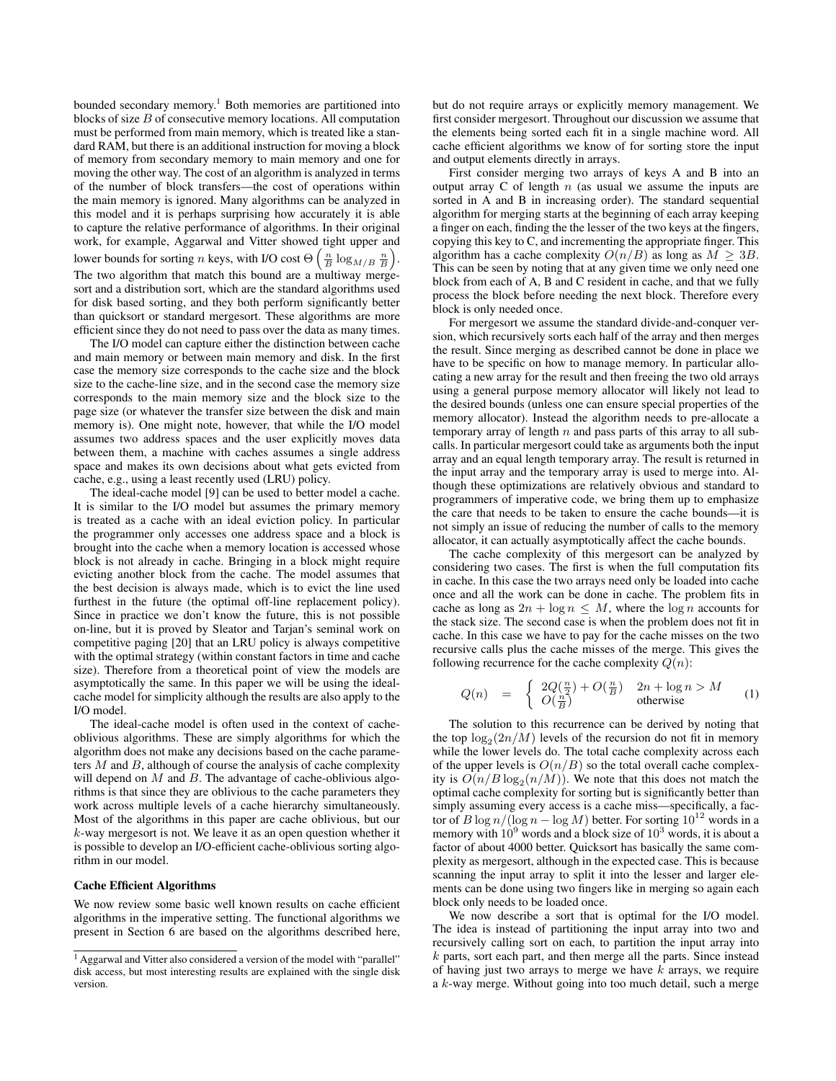bounded secondary memory.<sup>1</sup> Both memories are partitioned into blocks of size B of consecutive memory locations. All computation must be performed from main memory, which is treated like a standard RAM, but there is an additional instruction for moving a block of memory from secondary memory to main memory and one for moving the other way. The cost of an algorithm is analyzed in terms of the number of block transfers—the cost of operations within the main memory is ignored. Many algorithms can be analyzed in this model and it is perhaps surprising how accurately it is able to capture the relative performance of algorithms. In their original work, for example, Aggarwal and Vitter showed tight upper and lower bounds for sorting *n* keys, with I/O cost  $\Theta\left(\frac{n}{B}\log_{M/B}\frac{n}{B}\right)$ . The two algorithm that match this bound are a multiway mergesort and a distribution sort, which are the standard algorithms used

for disk based sorting, and they both perform significantly better than quicksort or standard mergesort. These algorithms are more efficient since they do not need to pass over the data as many times.

The I/O model can capture either the distinction between cache and main memory or between main memory and disk. In the first case the memory size corresponds to the cache size and the block size to the cache-line size, and in the second case the memory size corresponds to the main memory size and the block size to the page size (or whatever the transfer size between the disk and main memory is). One might note, however, that while the I/O model assumes two address spaces and the user explicitly moves data between them, a machine with caches assumes a single address space and makes its own decisions about what gets evicted from cache, e.g., using a least recently used (LRU) policy.

The ideal-cache model [9] can be used to better model a cache. It is similar to the I/O model but assumes the primary memory is treated as a cache with an ideal eviction policy. In particular the programmer only accesses one address space and a block is brought into the cache when a memory location is accessed whose block is not already in cache. Bringing in a block might require evicting another block from the cache. The model assumes that the best decision is always made, which is to evict the line used furthest in the future (the optimal off-line replacement policy). Since in practice we don't know the future, this is not possible on-line, but it is proved by Sleator and Tarjan's seminal work on competitive paging [20] that an LRU policy is always competitive with the optimal strategy (within constant factors in time and cache size). Therefore from a theoretical point of view the models are asymptotically the same. In this paper we will be using the idealcache model for simplicity although the results are also apply to the I/O model.

The ideal-cache model is often used in the context of cacheoblivious algorithms. These are simply algorithms for which the algorithm does not make any decisions based on the cache parameters  $M$  and  $B$ , although of course the analysis of cache complexity will depend on  $M$  and  $B$ . The advantage of cache-oblivious algorithms is that since they are oblivious to the cache parameters they work across multiple levels of a cache hierarchy simultaneously. Most of the algorithms in this paper are cache oblivious, but our k-way mergesort is not. We leave it as an open question whether it is possible to develop an I/O-efficient cache-oblivious sorting algorithm in our model.

#### Cache Efficient Algorithms

We now review some basic well known results on cache efficient algorithms in the imperative setting. The functional algorithms we present in Section 6 are based on the algorithms described here, but do not require arrays or explicitly memory management. We first consider mergesort. Throughout our discussion we assume that the elements being sorted each fit in a single machine word. All cache efficient algorithms we know of for sorting store the input and output elements directly in arrays.

First consider merging two arrays of keys A and B into an output array  $C$  of length  $n$  (as usual we assume the inputs are sorted in A and B in increasing order). The standard sequential algorithm for merging starts at the beginning of each array keeping a finger on each, finding the the lesser of the two keys at the fingers, copying this key to C, and incrementing the appropriate finger. This algorithm has a cache complexity  $O(n/B)$  as long as  $M \geq 3B$ . This can be seen by noting that at any given time we only need one block from each of A, B and C resident in cache, and that we fully process the block before needing the next block. Therefore every block is only needed once.

For mergesort we assume the standard divide-and-conquer version, which recursively sorts each half of the array and then merges the result. Since merging as described cannot be done in place we have to be specific on how to manage memory. In particular allocating a new array for the result and then freeing the two old arrays using a general purpose memory allocator will likely not lead to the desired bounds (unless one can ensure special properties of the memory allocator). Instead the algorithm needs to pre-allocate a temporary array of length  $n$  and pass parts of this array to all subcalls. In particular mergesort could take as arguments both the input array and an equal length temporary array. The result is returned in the input array and the temporary array is used to merge into. Although these optimizations are relatively obvious and standard to programmers of imperative code, we bring them up to emphasize the care that needs to be taken to ensure the cache bounds—it is not simply an issue of reducing the number of calls to the memory allocator, it can actually asymptotically affect the cache bounds.

The cache complexity of this mergesort can be analyzed by considering two cases. The first is when the full computation fits in cache. In this case the two arrays need only be loaded into cache once and all the work can be done in cache. The problem fits in cache as long as  $2n + \log n \leq M$ , where the  $\log n$  accounts for the stack size. The second case is when the problem does not fit in cache. In this case we have to pay for the cache misses on the two recursive calls plus the cache misses of the merge. This gives the following recurrence for the cache complexity  $Q(n)$ :

$$
Q(n) = \begin{cases} 2Q(\frac{n}{2}) + O(\frac{n}{B}) & 2n + \log n > M \\ O(\frac{n}{B}) & \text{otherwise} \end{cases}
$$
 (1)

The solution to this recurrence can be derived by noting that the top  $\log_2(2n/M)$  levels of the recursion do not fit in memory while the lower levels do. The total cache complexity across each of the upper levels is  $O(n/B)$  so the total overall cache complexity is  $O(n/B \log_2(n/M))$ . We note that this does not match the optimal cache complexity for sorting but is significantly better than simply assuming every access is a cache miss—specifically, a factor of B log  $n/(\log n - \log M)$  better. For sorting  $10^{12}$  words in a memory with  $10^9$  words and a block size of  $10^3$  words, it is about a factor of about 4000 better. Quicksort has basically the same complexity as mergesort, although in the expected case. This is because scanning the input array to split it into the lesser and larger elements can be done using two fingers like in merging so again each block only needs to be loaded once.

We now describe a sort that is optimal for the I/O model. The idea is instead of partitioning the input array into two and recursively calling sort on each, to partition the input array into k parts, sort each part, and then merge all the parts. Since instead of having just two arrays to merge we have  $k$  arrays, we require a k-way merge. Without going into too much detail, such a merge

<sup>&</sup>lt;sup>1</sup> Aggarwal and Vitter also considered a version of the model with "parallel" disk access, but most interesting results are explained with the single disk version.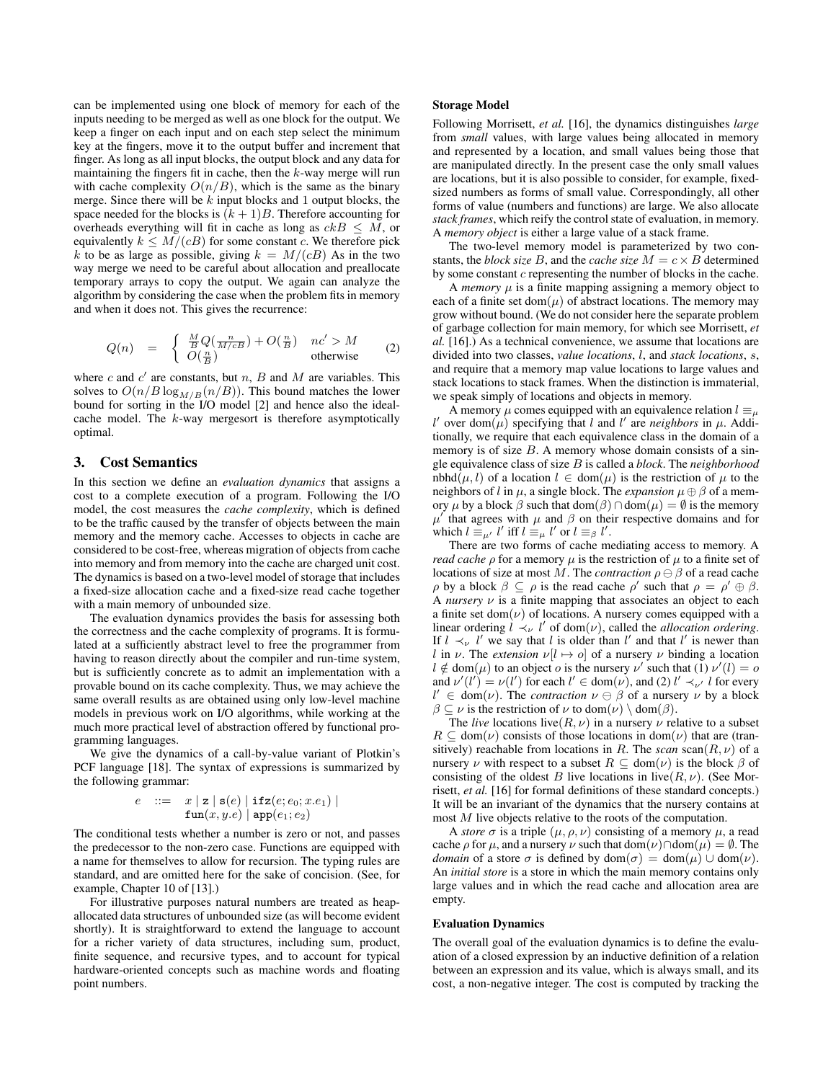can be implemented using one block of memory for each of the inputs needing to be merged as well as one block for the output. We keep a finger on each input and on each step select the minimum key at the fingers, move it to the output buffer and increment that finger. As long as all input blocks, the output block and any data for maintaining the fingers fit in cache, then the  $k$ -way merge will run with cache complexity  $O(n/B)$ , which is the same as the binary merge. Since there will be  $k$  input blocks and 1 output blocks, the space needed for the blocks is  $(k + 1)B$ . Therefore accounting for overheads everything will fit in cache as long as  $ckB \leq M$ , or equivalently  $k \leq M/(cB)$  for some constant c. We therefore pick k to be as large as possible, giving  $k = M/(cB)$  As in the two way merge we need to be careful about allocation and preallocate temporary arrays to copy the output. We again can analyze the algorithm by considering the case when the problem fits in memory and when it does not. This gives the recurrence:

$$
Q(n) = \begin{cases} \frac{M}{B}Q(\frac{n}{M/cB}) + O(\frac{n}{B}) & nc' > M \\ O(\frac{n}{B}) & \text{otherwise} \end{cases}
$$
 (2)

where c and  $c'$  are constants, but n, B and M are variables. This solves to  $O(n/B \log_{M/B}(n/B))$ . This bound matches the lower bound for sorting in the I/O model [2] and hence also the idealcache model. The k-way mergesort is therefore asymptotically optimal.

# 3. Cost Semantics

In this section we define an *evaluation dynamics* that assigns a cost to a complete execution of a program. Following the I/O model, the cost measures the *cache complexity*, which is defined to be the traffic caused by the transfer of objects between the main memory and the memory cache. Accesses to objects in cache are considered to be cost-free, whereas migration of objects from cache into memory and from memory into the cache are charged unit cost. The dynamics is based on a two-level model of storage that includes a fixed-size allocation cache and a fixed-size read cache together with a main memory of unbounded size.

The evaluation dynamics provides the basis for assessing both the correctness and the cache complexity of programs. It is formulated at a sufficiently abstract level to free the programmer from having to reason directly about the compiler and run-time system, but is sufficiently concrete as to admit an implementation with a provable bound on its cache complexity. Thus, we may achieve the same overall results as are obtained using only low-level machine models in previous work on I/O algorithms, while working at the much more practical level of abstraction offered by functional programming languages.

We give the dynamics of a call-by-value variant of Plotkin's PCF language [18]. The syntax of expressions is summarized by the following grammar:

$$
e \ ::= \ x \mid \mathbf{z} \mid \mathbf{s}(e) \mid \mathbf{ifz}(e; e_0; x.e_1) \mid \mathbf{fun}(x, y.e) \mid \mathbf{app}(e_1; e_2)
$$

The conditional tests whether a number is zero or not, and passes the predecessor to the non-zero case. Functions are equipped with a name for themselves to allow for recursion. The typing rules are standard, and are omitted here for the sake of concision. (See, for example, Chapter 10 of [13].)

For illustrative purposes natural numbers are treated as heapallocated data structures of unbounded size (as will become evident shortly). It is straightforward to extend the language to account for a richer variety of data structures, including sum, product, finite sequence, and recursive types, and to account for typical hardware-oriented concepts such as machine words and floating point numbers.

## Storage Model

Following Morrisett, *et al.* [16], the dynamics distinguishes *large* from *small* values, with large values being allocated in memory and represented by a location, and small values being those that are manipulated directly. In the present case the only small values are locations, but it is also possible to consider, for example, fixedsized numbers as forms of small value. Correspondingly, all other forms of value (numbers and functions) are large. We also allocate *stack frames*, which reify the control state of evaluation, in memory. A *memory object* is either a large value of a stack frame.

The two-level memory model is parameterized by two constants, the *block size* B, and the *cache size*  $M = c \times B$  determined by some constant c representing the number of blocks in the cache.

A *memory*  $\mu$  is a finite mapping assigning a memory object to each of a finite set dom( $\mu$ ) of abstract locations. The memory may grow without bound. (We do not consider here the separate problem of garbage collection for main memory, for which see Morrisett, *et al.* [16].) As a technical convenience, we assume that locations are divided into two classes, *value locations*, l, and *stack locations*, s, and require that a memory map value locations to large values and stack locations to stack frames. When the distinction is immaterial, we speak simply of locations and objects in memory.

A memory  $\mu$  comes equipped with an equivalence relation  $l \equiv_{\mu}$ l' over dom $(\mu)$  specifying that l and l' are *neighbors* in  $\mu$ . Additionally, we require that each equivalence class in the domain of a memory is of size  $B$ . A memory whose domain consists of a single equivalence class of size B is called a *block*. The *neighborhood* nbhd $(\mu, l)$  of a location  $l \in \text{dom}(\mu)$  is the restriction of  $\mu$  to the neighbors of l in  $\mu$ , a single block. The *expansion*  $\mu \oplus \beta$  of a memory  $\mu$  by a block  $\beta$  such that dom( $\beta$ )  $\cap$  dom( $\mu$ ) =  $\emptyset$  is the memory  $\mu'$  that agrees with  $\mu$  and  $\beta$  on their respective domains and for which  $l \equiv_{\mu'} l'$  iff  $l \equiv_{\mu} l'$  or  $l \equiv_{\beta} l'$ .

There are two forms of cache mediating access to memory. A *read cache*  $\rho$  for a memory  $\mu$  is the restriction of  $\mu$  to a finite set of locations of size at most M. The *contraction*  $\rho \ominus \beta$  of a read cache  $\rho$  by a block  $\beta \subseteq \rho$  is the read cache  $\rho'$  such that  $\rho = \rho' \oplus \beta$ . A *nursery*  $\nu$  is a finite mapping that associates an object to each a finite set dom $(\nu)$  of locations. A nursery comes equipped with a linear ordering  $l \prec_{\nu} l'$  of dom $(\nu)$ , called the *allocation ordering*. If  $l \prec_{\nu} l'$  we say that l is older than l' and that l' is newer than l in  $\nu$ . The *extension*  $\nu[l \mapsto o]$  of a nursery  $\nu$  binding a location  $l \notin \text{dom}(\mu)$  to an object *o* is the nursery  $\nu'$  such that  $\overline{(1)} \nu'(l) = o$ and  $\nu'(l') = \nu(l')$  for each  $l' \in \text{dom}(\nu)$ , and (2)  $l' \prec_{\nu'} l$  for every  $l' \in \text{dom}(\nu)$ . The *contraction*  $\nu \ominus \beta$  of a nursery  $\nu$  by a block  $\beta \subseteq \nu$  is the restriction of  $\nu$  to dom $(\nu) \setminus$  dom $(\beta)$ .

The *live* locations live( $R, \nu$ ) in a nursery  $\nu$  relative to a subset  $R \subseteq \text{dom}(\nu)$  consists of those locations in dom $(\nu)$  that are (transitively) reachable from locations in R. The  $scan$  scan $(R, \nu)$  of a nursery  $\nu$  with respect to a subset  $R \subseteq \text{dom}(\nu)$  is the block  $\beta$  of consisting of the oldest B live locations in live $(R, \nu)$ . (See Morrisett, *et al.* [16] for formal definitions of these standard concepts.) It will be an invariant of the dynamics that the nursery contains at most M live objects relative to the roots of the computation.

A *store*  $\sigma$  is a triple  $(\mu, \rho, \nu)$  consisting of a memory  $\mu$ , a read cache  $\rho$  for  $\mu$ , and a nursery  $\nu$  such that  $dom(\nu) \cap dom(\mu) = \emptyset$ . The *domain* of a store  $\sigma$  is defined by dom $(\sigma) = \text{dom}(\mu) \cup \text{dom}(\nu)$ . An *initial store* is a store in which the main memory contains only large values and in which the read cache and allocation area are empty.

#### Evaluation Dynamics

The overall goal of the evaluation dynamics is to define the evaluation of a closed expression by an inductive definition of a relation between an expression and its value, which is always small, and its cost, a non-negative integer. The cost is computed by tracking the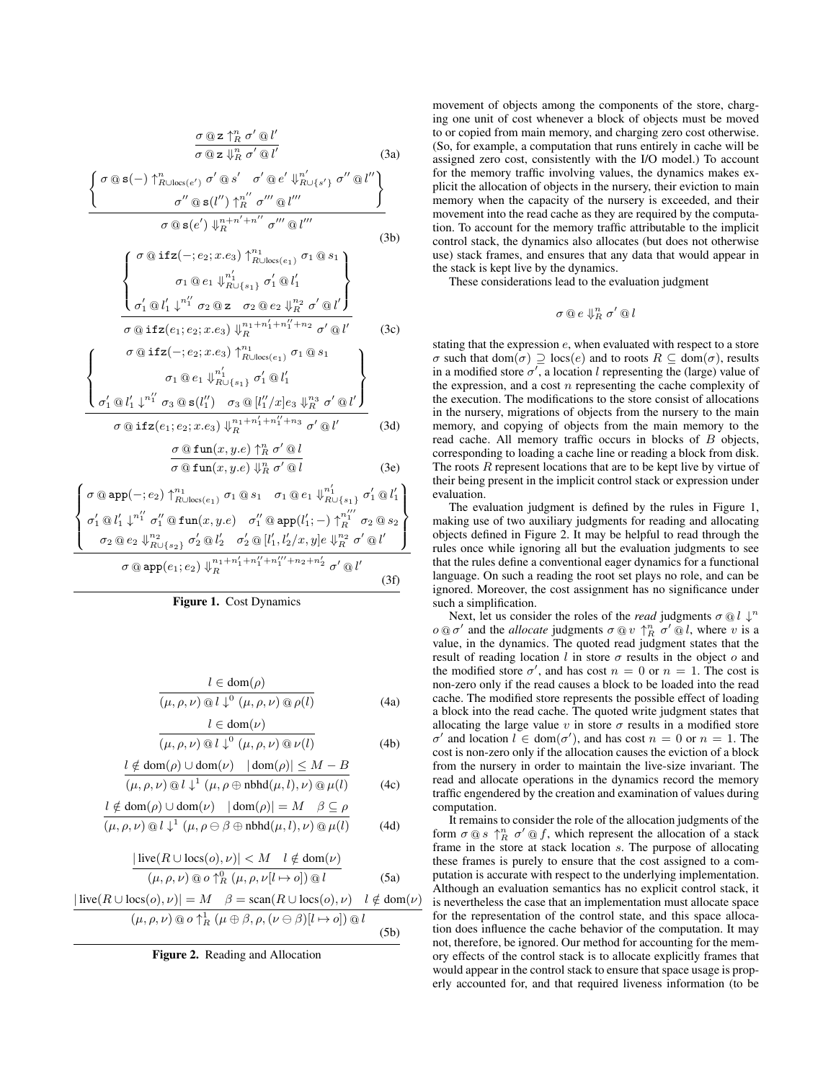σ @ z ↑ n <sup>R</sup> σ <sup>0</sup> @ l 0 σ @ z ⇓ n <sup>R</sup> σ <sup>0</sup> @ l 0 (3a) ( σ @ s(−) ↑ n <sup>R</sup>∪locs(e0) σ <sup>0</sup> @ s 0 σ <sup>0</sup> @ e 0 ⇓ n 0 <sup>R</sup>∪{s0} σ <sup>00</sup> @ l 00 σ <sup>00</sup> @ s(l <sup>00</sup>) ↑ n 00 <sup>R</sup> σ <sup>000</sup> @ l <sup>000</sup> ) σ @ s(e 0 ) ⇓ n+n <sup>0</sup>+n 00 <sup>R</sup> σ <sup>000</sup> @ l 000 (3b) σ @ ifz(−; e2; x.e3) ↑ n1 R∪locs(e1) σ<sup>1</sup> @ s<sup>1</sup> σ<sup>1</sup> @ e<sup>1</sup> ⇓ n 0 1 R∪{s1} σ 0 <sup>1</sup> @ l 0 1 σ 0 <sup>1</sup> @ l 0 <sup>1</sup> ↓ n 00 <sup>1</sup> σ<sup>2</sup> @ z σ<sup>2</sup> @ e<sup>2</sup> ⇓ n2 <sup>R</sup> σ <sup>0</sup> @ l 0 σ @ ifz(e1; e2; x.e3) ⇓ n1+n 0 <sup>1</sup>+n 00 <sup>1</sup> +n<sup>2</sup> <sup>R</sup> σ <sup>0</sup> @ l 0 (3c) σ @ ifz(−; e2; x.e3) ↑ n1 R∪locs(e1) σ<sup>1</sup> @ s<sup>1</sup> 

$$
\left\{\n\begin{array}{c}\n\sigma_1 \otimes e_1 \Downarrow_{R \cup \{s_1\}}^{n'_1} \sigma'_1 \otimes l'_1 \\
\sigma'_1 \otimes l'_1 \downarrow^{n''_1} \sigma_3 \otimes s(l''_1) \sigma_3 \otimes [l''_1/x]e_3 \Downarrow_{R}^{n_3} \sigma' \otimes l'\n\end{array}\n\right\}
$$
\n
$$
\sigma \otimes \textbf{ifz}(e_1; e_2; x.e_3) \Downarrow_{R}^{n_1+n'_1+n''_1+n_3} \sigma' \otimes l'\n\end{array}\n\right\}
$$
\n(3d)

σ @ fun(x, y.e) ↑ n <sup>R</sup> σ <sup>0</sup> @ l

$$
\overline{\sigma \text{ @ fun}(x, y. e) \Downarrow_R^n \sigma' \text{ @ } l}
$$
 (3e)

$$
\left\{\n\begin{array}{l}\n\sigma \t\t\t\t\t@app(-; e_2) \uparrow^{n_1}_{R \cup \text{loc}(e_1)} \sigma_1 \t\t\t\t@s_1 \sigma_1 \t\t\t\t\t@e_1 \Downarrow^{n'_1}_{R \cup \{s_1\}} \sigma'_1 \t\t\t\t\t\t@l'_1 \\
\sigma'_1 \t\t\t\t@l'_1 \downarrow^{n''_1} \sigma''_1 \t\t\t\t\t@fun(x, y.e) \sigma''_1 \t\t\t\t\t@app(l'_1; -) \uparrow^{n''_1}_{R} \sigma_2 \t\t\t\t\t\t\t@s_2 \\
\sigma_2 \t\t\t\t\t@e_2 \Downarrow^{n_2}_{R \cup \{s_2\}} \sigma'_2 \t\t\t\t\t\t\t\t\t\t\t\t\t\t\t\t@l'_1 \end{array}\n\right\} \right\}
$$
\n
$$
\sigma \t\t\t\t@app(e_1; e_2) \Downarrow^{n_1 + n'_1 + n''_1 + n''_1 + n''_2 + n'_2} \sigma' \t\t\t\t\t\t\t\t\t\t\t\t\t\t\t\t\t\t@l'_1
$$
\n
$$
\sigma \t\t\t@app(e_1; e_2) \Downarrow^{n_1 + n'_1 + n''_1 + n''_1 + n''_2 + n'_2} \sigma' \t\t\t\t\t\t\t\t\t\t\t\t\t\t\t\t\t\t\t\t\t\t\t\t\end{array}
$$
\n
$$
(3f)
$$

Figure 1. Cost Dynamics

 $l \subset \text{dom}(u)$ 

$$
\frac{l \in \text{dom}(\rho)}{(\mu, \rho, \nu) \otimes l \downarrow^0 (\mu, \rho, \nu) \otimes \rho(l)}
$$
(4a)

$$
\frac{\partial^2 u}{(\mu, \rho, \nu) \text{ or } l \downarrow^0 (\mu, \rho, \nu) \text{ or } l}
$$
(4b)

$$
\frac{l \notin \text{dom}(\rho) \cup \text{dom}(\nu) \quad |\text{dom}(\rho)| \le M - B}{(\mu, \rho, \nu) \otimes l \downarrow^1 (\mu, \rho \oplus \text{nbhd}(\mu, l), \nu) \otimes \mu(l)} \tag{4c}
$$

$$
l \notin \text{dom}(\rho) \cup \text{dom}(\nu) \quad |\text{dom}(\rho)| = M \quad \beta \subseteq \rho
$$

$$
(\mu, \rho, \nu) \otimes l \downarrow^{1} (\mu, \rho \ominus \beta \oplus \mathrm{nbhd}(\mu, l), \nu) \otimes \mu(l) \tag{4d}
$$

$$
\frac{|\text{live}(R \cup \text{locs}(o), \nu)| < M \quad l \notin \text{dom}(\nu)}{(\mu, \rho, \nu) \text{ @ } o \uparrow_R^0 (\mu, \rho, \nu[l \mapsto o]) \text{ @ } l} \tag{5a}
$$

$$
\frac{|\text{live}(R \cup \text{locs}(o), \nu)| = M \quad \beta = \text{scan}(R \cup \text{locs}(o), \nu) \quad l \notin \text{dom}(\nu)}{(\mu, \rho, \nu) \text{ @ o } \uparrow_R^1 (\mu \oplus \beta, \rho, (\nu \ominus \beta)[l \mapsto o]) \text{ @ } l}
$$
(5b)



movement of objects among the components of the store, charging one unit of cost whenever a block of objects must be moved to or copied from main memory, and charging zero cost otherwise. (So, for example, a computation that runs entirely in cache will be assigned zero cost, consistently with the I/O model.) To account for the memory traffic involving values, the dynamics makes explicit the allocation of objects in the nursery, their eviction to main memory when the capacity of the nursery is exceeded, and their movement into the read cache as they are required by the computation. To account for the memory traffic attributable to the implicit control stack, the dynamics also allocates (but does not otherwise use) stack frames, and ensures that any data that would appear in the stack is kept live by the dynamics.

These considerations lead to the evaluation judgment

$$
\sigma @e\Downarrow_R^n \sigma' @l
$$

stating that the expression e, when evaluated with respect to a store  $\sigma$  such that dom $(\sigma) \supseteq \text{locs}(e)$  and to roots  $R \subseteq \text{dom}(\sigma)$ , results in a modified store  $\sigma'$ , a location l representing the (large) value of the expression, and a cost  $n$  representing the cache complexity of the execution. The modifications to the store consist of allocations in the nursery, migrations of objects from the nursery to the main memory, and copying of objects from the main memory to the read cache. All memory traffic occurs in blocks of B objects, corresponding to loading a cache line or reading a block from disk. The roots  $R$  represent locations that are to be kept live by virtue of their being present in the implicit control stack or expression under evaluation.

The evaluation judgment is defined by the rules in Figure 1, making use of two auxiliary judgments for reading and allocating objects defined in Figure 2. It may be helpful to read through the rules once while ignoring all but the evaluation judgments to see that the rules define a conventional eager dynamics for a functional language. On such a reading the root set plays no role, and can be ignored. Moreover, the cost assignment has no significance under such a simplification.

Next, let us consider the roles of the *read* judgments  $\sigma \otimes l \downarrow$ <sup>n</sup>  $o \t{a} \t{o'}$  and the *allocate* judgments  $\sigma \t{a} v \uparrow_R^n \t{o'} \t{a} l$ , where v is a value, in the dynamics. The quoted read judgment states that the result of reading location  $l$  in store  $\sigma$  results in the object  $o$  and the modified store  $\sigma'$ , and has cost  $n = 0$  or  $n = 1$ . The cost is non-zero only if the read causes a block to be loaded into the read cache. The modified store represents the possible effect of loading a block into the read cache. The quoted write judgment states that allocating the large value v in store  $\sigma$  results in a modified store  $\sigma'$  and location  $l \in \text{dom}(\sigma')$ , and has cost  $n = 0$  or  $n = 1$ . The cost is non-zero only if the allocation causes the eviction of a block from the nursery in order to maintain the live-size invariant. The read and allocate operations in the dynamics record the memory traffic engendered by the creation and examination of values during computation.

It remains to consider the role of the allocation judgments of the form  $\sigma \t{a} s \t{b}^n$   $\sigma' \t{a} f$ , which represent the allocation of a stack frame in the store at stack location s. The purpose of allocating these frames is purely to ensure that the cost assigned to a computation is accurate with respect to the underlying implementation. Although an evaluation semantics has no explicit control stack, it is nevertheless the case that an implementation must allocate space for the representation of the control state, and this space allocation does influence the cache behavior of the computation. It may not, therefore, be ignored. Our method for accounting for the memory effects of the control stack is to allocate explicitly frames that would appear in the control stack to ensure that space usage is properly accounted for, and that required liveness information (to be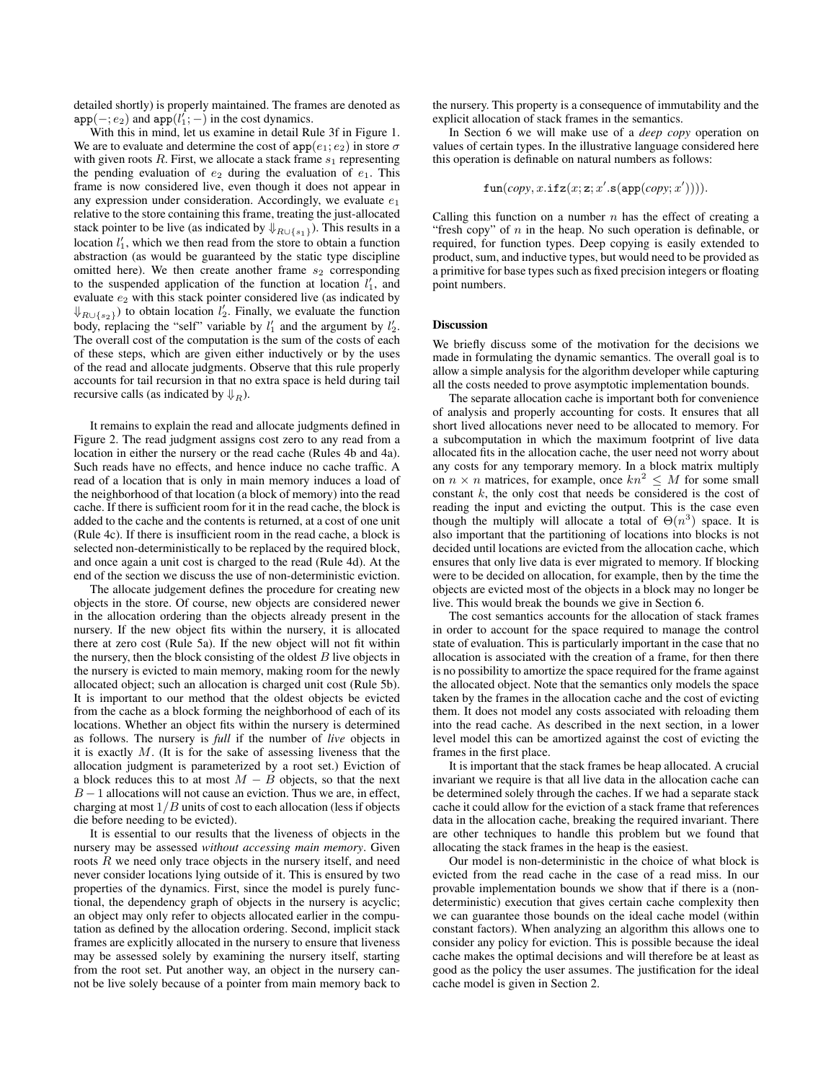detailed shortly) is properly maintained. The frames are denoted as  $app(-; e_2)$  and  $app(l'_1; -)$  in the cost dynamics.

With this in mind, let us examine in detail Rule 3f in Figure 1. We are to evaluate and determine the cost of  $app(e_1; e_2)$  in store  $\sigma$ with given roots  $R$ . First, we allocate a stack frame  $s_1$  representing the pending evaluation of  $e_2$  during the evaluation of  $e_1$ . This frame is now considered live, even though it does not appear in any expression under consideration. Accordingly, we evaluate  $e_1$ relative to the store containing this frame, treating the just-allocated stack pointer to be live (as indicated by  $\Downarrow_{R\cup\{s_1\}}$ ). This results in a location  $l'_1$ , which we then read from the store to obtain a function abstraction (as would be guaranteed by the static type discipline omitted here). We then create another frame  $s_2$  corresponding to the suspended application of the function at location  $l'_1$ , and evaluate  $e_2$  with this stack pointer considered live (as indicated by  $\Downarrow_{R \cup \{s_2\}}$  to obtain location  $l'_2$ . Finally, we evaluate the function body, replacing the "self" variable by  $l'_1$  and the argument by  $l'_2$ . The overall cost of the computation is the sum of the costs of each of these steps, which are given either inductively or by the uses of the read and allocate judgments. Observe that this rule properly accounts for tail recursion in that no extra space is held during tail recursive calls (as indicated by  $\downarrow_R$ ).

It remains to explain the read and allocate judgments defined in Figure 2. The read judgment assigns cost zero to any read from a location in either the nursery or the read cache (Rules 4b and 4a). Such reads have no effects, and hence induce no cache traffic. A read of a location that is only in main memory induces a load of the neighborhood of that location (a block of memory) into the read cache. If there is sufficient room for it in the read cache, the block is added to the cache and the contents is returned, at a cost of one unit (Rule 4c). If there is insufficient room in the read cache, a block is selected non-deterministically to be replaced by the required block, and once again a unit cost is charged to the read (Rule 4d). At the end of the section we discuss the use of non-deterministic eviction.

The allocate judgement defines the procedure for creating new objects in the store. Of course, new objects are considered newer in the allocation ordering than the objects already present in the nursery. If the new object fits within the nursery, it is allocated there at zero cost (Rule 5a). If the new object will not fit within the nursery, then the block consisting of the oldest  $B$  live objects in the nursery is evicted to main memory, making room for the newly allocated object; such an allocation is charged unit cost (Rule 5b). It is important to our method that the oldest objects be evicted from the cache as a block forming the neighborhood of each of its locations. Whether an object fits within the nursery is determined as follows. The nursery is *full* if the number of *live* objects in it is exactly  $M$ . (It is for the sake of assessing liveness that the allocation judgment is parameterized by a root set.) Eviction of a block reduces this to at most  $M - B$  objects, so that the next  $B - 1$  allocations will not cause an eviction. Thus we are, in effect, charging at most  $1/B$  units of cost to each allocation (less if objects die before needing to be evicted).

It is essential to our results that the liveness of objects in the nursery may be assessed *without accessing main memory*. Given roots  $R$  we need only trace objects in the nursery itself, and need never consider locations lying outside of it. This is ensured by two properties of the dynamics. First, since the model is purely functional, the dependency graph of objects in the nursery is acyclic; an object may only refer to objects allocated earlier in the computation as defined by the allocation ordering. Second, implicit stack frames are explicitly allocated in the nursery to ensure that liveness may be assessed solely by examining the nursery itself, starting from the root set. Put another way, an object in the nursery cannot be live solely because of a pointer from main memory back to the nursery. This property is a consequence of immutability and the explicit allocation of stack frames in the semantics.

In Section 6 we will make use of a *deep copy* operation on values of certain types. In the illustrative language considered here this operation is definable on natural numbers as follows:

$$
\mathtt{fun}(copy, x.\mathtt{ifz}(x; \mathbf{z}; x'.\mathtt{s}(\mathtt{app}(copy;x')))).
$$

Calling this function on a number  $n$  has the effect of creating a "fresh copy" of  $n$  in the heap. No such operation is definable, or required, for function types. Deep copying is easily extended to product, sum, and inductive types, but would need to be provided as a primitive for base types such as fixed precision integers or floating point numbers.

#### **Discussion**

We briefly discuss some of the motivation for the decisions we made in formulating the dynamic semantics. The overall goal is to allow a simple analysis for the algorithm developer while capturing all the costs needed to prove asymptotic implementation bounds.

The separate allocation cache is important both for convenience of analysis and properly accounting for costs. It ensures that all short lived allocations never need to be allocated to memory. For a subcomputation in which the maximum footprint of live data allocated fits in the allocation cache, the user need not worry about any costs for any temporary memory. In a block matrix multiply on  $n \times n$  matrices, for example, once  $kn^2 \leq M$  for some small constant k, the only cost that needs be considered is the cost of reading the input and evicting the output. This is the case even though the multiply will allocate a total of  $\Theta(n^3)$  space. It is also important that the partitioning of locations into blocks is not decided until locations are evicted from the allocation cache, which ensures that only live data is ever migrated to memory. If blocking were to be decided on allocation, for example, then by the time the objects are evicted most of the objects in a block may no longer be live. This would break the bounds we give in Section 6.

The cost semantics accounts for the allocation of stack frames in order to account for the space required to manage the control state of evaluation. This is particularly important in the case that no allocation is associated with the creation of a frame, for then there is no possibility to amortize the space required for the frame against the allocated object. Note that the semantics only models the space taken by the frames in the allocation cache and the cost of evicting them. It does not model any costs associated with reloading them into the read cache. As described in the next section, in a lower level model this can be amortized against the cost of evicting the frames in the first place.

It is important that the stack frames be heap allocated. A crucial invariant we require is that all live data in the allocation cache can be determined solely through the caches. If we had a separate stack cache it could allow for the eviction of a stack frame that references data in the allocation cache, breaking the required invariant. There are other techniques to handle this problem but we found that allocating the stack frames in the heap is the easiest.

Our model is non-deterministic in the choice of what block is evicted from the read cache in the case of a read miss. In our provable implementation bounds we show that if there is a (nondeterministic) execution that gives certain cache complexity then we can guarantee those bounds on the ideal cache model (within constant factors). When analyzing an algorithm this allows one to consider any policy for eviction. This is possible because the ideal cache makes the optimal decisions and will therefore be at least as good as the policy the user assumes. The justification for the ideal cache model is given in Section 2.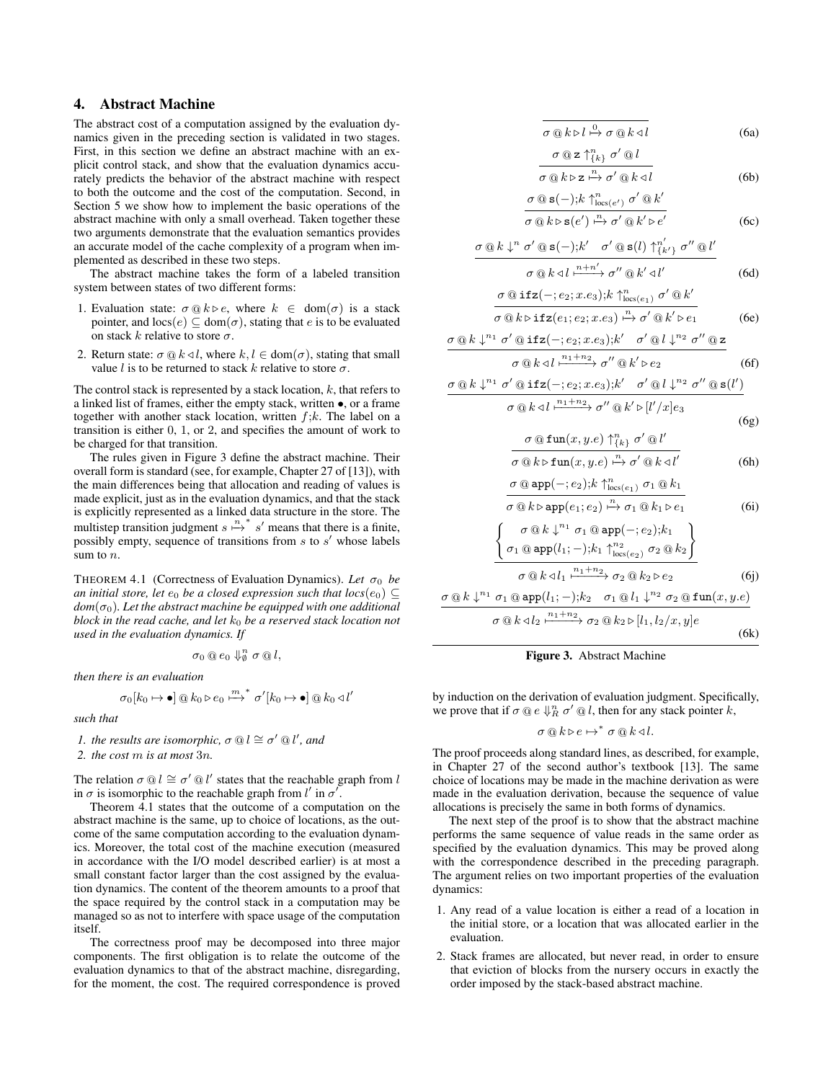# 4. Abstract Machine

The abstract cost of a computation assigned by the evaluation dynamics given in the preceding section is validated in two stages. First, in this section we define an abstract machine with an explicit control stack, and show that the evaluation dynamics accurately predicts the behavior of the abstract machine with respect to both the outcome and the cost of the computation. Second, in Section 5 we show how to implement the basic operations of the abstract machine with only a small overhead. Taken together these two arguments demonstrate that the evaluation semantics provides an accurate model of the cache complexity of a program when implemented as described in these two steps.

The abstract machine takes the form of a labeled transition system between states of two different forms:

- 1. Evaluation state:  $\sigma @ k \triangleright e$ , where  $k \in dom(\sigma)$  is a stack pointer, and  $\text{locs}(e) \subseteq \text{dom}(\sigma)$ , stating that e is to be evaluated on stack k relative to store  $\sigma$ .
- 2. Return state:  $\sigma \tQ k \triangleleft l$ , where  $k, l \in \text{dom}(\sigma)$ , stating that small value l is to be returned to stack k relative to store  $\sigma$ .

The control stack is represented by a stack location,  $k$ , that refers to a linked list of frames, either the empty stack, written •, or a frame together with another stack location, written  $f$ ; $k$ . The label on a transition is either 0, 1, or 2, and specifies the amount of work to be charged for that transition.

The rules given in Figure 3 define the abstract machine. Their overall form is standard (see, for example, Chapter 27 of [13]), with the main differences being that allocation and reading of values is made explicit, just as in the evaluation dynamics, and that the stack is explicitly represented as a linked data structure in the store. The multistep transition judgment  $s \stackrel{n}{\mapsto} s'$  means that there is a finite, possibly empty, sequence of transitions from  $s$  to  $s'$  whose labels sum to n.

THEOREM 4.1 (Correctness of Evaluation Dynamics). Let  $\sigma_0$  be *an initial store, let*  $e_0$  *be a closed expression such that locs* $(e_0) \subseteq$  $dom(\sigma_0)$ *. Let the abstract machine be equipped with one additional block in the read cache, and let* k<sup>0</sup> *be a reserved stack location not used in the evaluation dynamics. If*

$$
\sigma_0\otimes e_0\Downarrow_{\emptyset}^n\sigma\otimes l,
$$

*then there is an evaluation*

$$
\sigma_0[k_0 \mapsto \bullet] \t\t\t@ k_0 \triangleright e_0 \xrightarrow{m}^* \sigma'[k_0 \mapsto \bullet] \t\t\t@ k_0 \triangleleft l'
$$

*such that*

*1. the results are isomorphic,*  $\sigma \otimes l \cong \sigma' \otimes l'$ , and

*2. the cost* m *is at most* 3n*.*

The relation  $\sigma \t{Q} \leq \t{C'} \t{Q} \t{U'}$  states that the reachable graph from  $U$ in  $\sigma$  is isomorphic to the reachable graph from l' in  $\sigma'$ .

Theorem 4.1 states that the outcome of a computation on the abstract machine is the same, up to choice of locations, as the outcome of the same computation according to the evaluation dynamics. Moreover, the total cost of the machine execution (measured in accordance with the I/O model described earlier) is at most a small constant factor larger than the cost assigned by the evaluation dynamics. The content of the theorem amounts to a proof that the space required by the control stack in a computation may be managed so as not to interfere with space usage of the computation itself.

The correctness proof may be decomposed into three major components. The first obligation is to relate the outcome of the evaluation dynamics to that of the abstract machine, disregarding, for the moment, the cost. The required correspondence is proved

$$
\sigma @ k \triangleright l \stackrel{0}{\mapsto} \sigma @ k \triangleleft l \tag{6a}
$$

$$
\frac{\sigma \otimes z \uparrow_{\{k\}}^n \sigma' \otimes l}{\sigma \otimes k \triangleright z \xrightarrow{n} \sigma' \otimes k \triangleleft l} \tag{6b}
$$

$$
\frac{\sigma \t{a} s(-); k \t{h_{\text{loc}(e')}} \t{\sigma'} \t{a} k'}{\sigma \t{a} k \r{b} s(e') \t{h} \t{\sigma'} \t{\sigma'} \t{b} k' \r{e'}}
$$
\n
$$
(6c)
$$

$$
\frac{\sigma \otimes k \downarrow^n \sigma' \otimes s(-); k' \quad \sigma' \otimes s(l) \uparrow^{n'}_{\{k'\}} \sigma'' \otimes l'}{n \downarrow n'}
$$

$$
\sigma \t C k \lhd l \xrightarrow{n+n'} \sigma'' \t C k' \lhd l' \tag{6d}
$$
\n
$$
\sigma \t C k \lhd l \rhd l \rhd l \rhd l' \rhd l' \tag{6d}
$$

$$
\frac{\sigma \otimes \texttt{ifz}(-; e_2; x.e_3); k \uparrow^n_{\text{locs}(e_1)} \sigma' \otimes k'}{\sigma \otimes k \triangleright \texttt{ifz}(e_1; e_2; x.e_3) \xrightarrow{n} \sigma' \otimes k' \triangleright e_1}
$$
\n(6e)

$$
\frac{\sigma \otimes k \downarrow^{n_1} \sigma' \otimes \text{ifz}(-; e_2; x.e_3); k' \quad \sigma' \otimes l \downarrow^{n_2} \sigma'' \otimes z}{\sigma \otimes k \triangleleft l \stackrel{n_1 + n_2}{\longrightarrow} \sigma'' \otimes k' \triangleright e_2}
$$
 (6f)

$$
\frac{\sigma \t{@k}{\downarrow^{n_1} \sigma' \t{@ifz(-; e_2; x.e_3); k' \sigma' \t{@l}{\downarrow^{n_2} \sigma'' \t{@s(l')}}}}{\sigma \t{@k}{\triangle l} \t{^{n_1+n_2}}{\sigma'' \t{@k'}{\triangleright [l'/x]e_3}}
$$

(6g) σ @ fun(x, y.e) ↑ n {k} σ <sup>0</sup> @ l 0

$$
\overline{\sigma \text{ @ } k \triangleright \text{fun}(x, y.e) \xrightarrow{\text{r}} \sigma' \text{ @ } k \triangleleft l'}
$$
\n
$$
\sigma \text{ @ app(-; e_2); k \uparrow_{\text{loss}(e_1)}^n \sigma_1 \text{ @ } k_1}
$$
\n
$$
(6h)
$$

$$
\frac{\sigma \circ h \circ \sigma_{\text{max}(e_1)} \circ \sigma_{\text{max}(e_2)}}{\sigma \circ k \circ \text{app}(e_1; e_2) \xrightarrow{\mu} \sigma_1 \circ k_1 \circ \sigma_1} \qquad (6i)
$$

$$
\frac{\left\{\sigma_1 \circledcirc \text{app}(l_1;-);k_1 \uparrow_{\text{locs}(e_2)}^{n_2} \sigma_2 \circledcirc k_2\right\}}{\sigma \circledcirc k \triangleleft l_1 \xrightarrow{n_1+n_2} \sigma_2 \circledcirc k_2 \triangleright e_2}
$$
(6j)

$$
\frac{\sigma \t{a} k \t{b}^{n_1} \sigma_1 \t{a} \text{app}(l_1;-);k_2 \t\sigma_1 \t{a} l_1 \t{b}^{n_2} \sigma_2 \t{a} \text{fun}(x,y.e)}{\sigma \t{a} k \triangleleft l_2 \t{b}^{n_1+n_2}} \sigma_2 \t{a} k_2 \triangleright [l_1, l_2/x, y]e}
$$
\n(6k)



by induction on the derivation of evaluation judgment. Specifically, we prove that if  $\sigma \tQ e \Downarrow_R^n \tQ' \tQ l$ , then for any stack pointer k,

$$
\sigma @k\triangleright e \mapsto^* \sigma @k\triangleleft l.
$$

The proof proceeds along standard lines, as described, for example, in Chapter 27 of the second author's textbook [13]. The same choice of locations may be made in the machine derivation as were made in the evaluation derivation, because the sequence of value allocations is precisely the same in both forms of dynamics.

The next step of the proof is to show that the abstract machine performs the same sequence of value reads in the same order as specified by the evaluation dynamics. This may be proved along with the correspondence described in the preceding paragraph. The argument relies on two important properties of the evaluation dynamics:

- 1. Any read of a value location is either a read of a location in the initial store, or a location that was allocated earlier in the evaluation.
- 2. Stack frames are allocated, but never read, in order to ensure that eviction of blocks from the nursery occurs in exactly the order imposed by the stack-based abstract machine.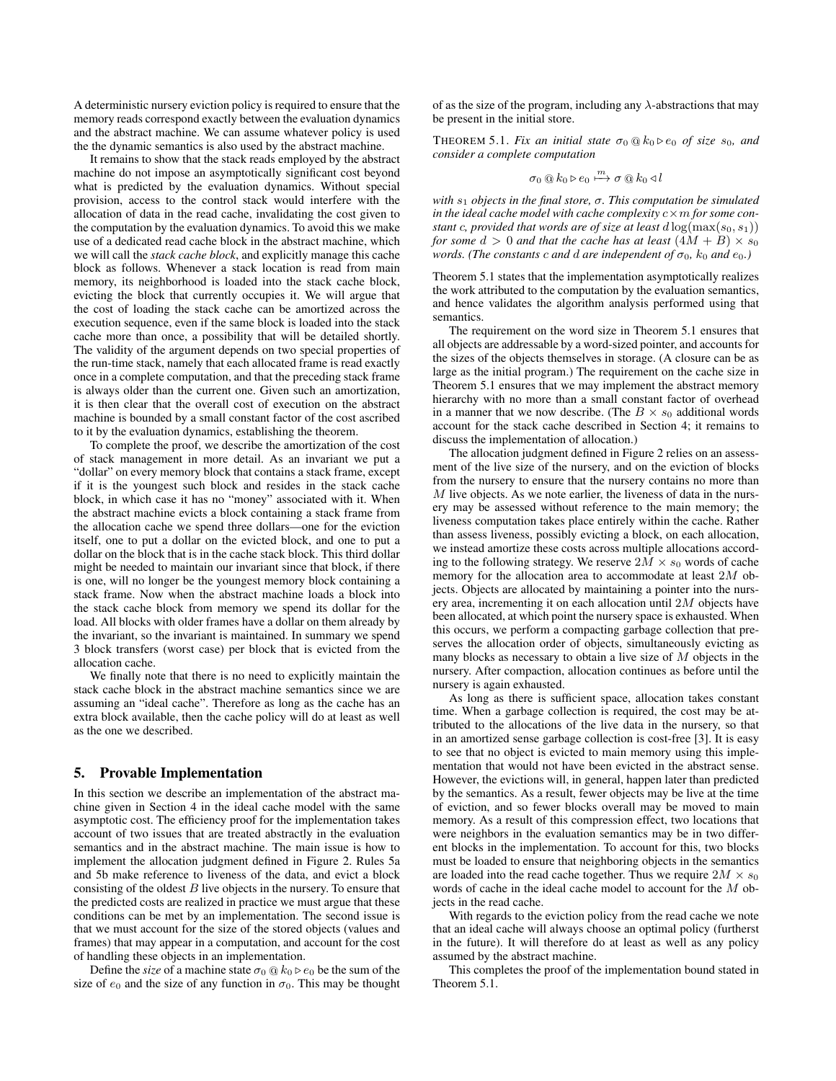A deterministic nursery eviction policy is required to ensure that the memory reads correspond exactly between the evaluation dynamics and the abstract machine. We can assume whatever policy is used the the dynamic semantics is also used by the abstract machine.

It remains to show that the stack reads employed by the abstract machine do not impose an asymptotically significant cost beyond what is predicted by the evaluation dynamics. Without special provision, access to the control stack would interfere with the allocation of data in the read cache, invalidating the cost given to the computation by the evaluation dynamics. To avoid this we make use of a dedicated read cache block in the abstract machine, which we will call the *stack cache block*, and explicitly manage this cache block as follows. Whenever a stack location is read from main memory, its neighborhood is loaded into the stack cache block, evicting the block that currently occupies it. We will argue that the cost of loading the stack cache can be amortized across the execution sequence, even if the same block is loaded into the stack cache more than once, a possibility that will be detailed shortly. The validity of the argument depends on two special properties of the run-time stack, namely that each allocated frame is read exactly once in a complete computation, and that the preceding stack frame is always older than the current one. Given such an amortization, it is then clear that the overall cost of execution on the abstract machine is bounded by a small constant factor of the cost ascribed to it by the evaluation dynamics, establishing the theorem.

To complete the proof, we describe the amortization of the cost of stack management in more detail. As an invariant we put a "dollar" on every memory block that contains a stack frame, except if it is the youngest such block and resides in the stack cache block, in which case it has no "money" associated with it. When the abstract machine evicts a block containing a stack frame from the allocation cache we spend three dollars—one for the eviction itself, one to put a dollar on the evicted block, and one to put a dollar on the block that is in the cache stack block. This third dollar might be needed to maintain our invariant since that block, if there is one, will no longer be the youngest memory block containing a stack frame. Now when the abstract machine loads a block into the stack cache block from memory we spend its dollar for the load. All blocks with older frames have a dollar on them already by the invariant, so the invariant is maintained. In summary we spend 3 block transfers (worst case) per block that is evicted from the allocation cache.

We finally note that there is no need to explicitly maintain the stack cache block in the abstract machine semantics since we are assuming an "ideal cache". Therefore as long as the cache has an extra block available, then the cache policy will do at least as well as the one we described.

## 5. Provable Implementation

In this section we describe an implementation of the abstract machine given in Section 4 in the ideal cache model with the same asymptotic cost. The efficiency proof for the implementation takes account of two issues that are treated abstractly in the evaluation semantics and in the abstract machine. The main issue is how to implement the allocation judgment defined in Figure 2. Rules 5a and 5b make reference to liveness of the data, and evict a block consisting of the oldest  $B$  live objects in the nursery. To ensure that the predicted costs are realized in practice we must argue that these conditions can be met by an implementation. The second issue is that we must account for the size of the stored objects (values and frames) that may appear in a computation, and account for the cost of handling these objects in an implementation.

Define the *size* of a machine state  $\sigma_0 \tQ k_0 \rhd e_0$  be the sum of the size of  $e_0$  and the size of any function in  $\sigma_0$ . This may be thought of as the size of the program, including any  $\lambda$ -abstractions that may be present in the initial store.

THEOREM 5.1. *Fix an initial state*  $\sigma_0 \, \textcircled{a} \, k_0 \triangleright e_0$  *of size*  $s_0$ *, and consider a complete computation*

$$
\sigma_0 \t\t@ k_0 \rhd e_0 \xrightarrow{m} \sigma \t\t@ k_0 \lhd l
$$

*with*  $s_1$  *objects in the final store, σ. This computation be simulated in the ideal cache model with cache complexity* c×m *for some constant* c, provided that words are of size at least  $d \log(\max(s_0, s_1))$ *for some*  $d > 0$  *and that the cache has at least*  $(4M + B) \times s_0$ *words.* (The constants c and d are independent of  $\sigma_0$ ,  $k_0$  and  $e_0$ .)

Theorem 5.1 states that the implementation asymptotically realizes the work attributed to the computation by the evaluation semantics, and hence validates the algorithm analysis performed using that semantics.

The requirement on the word size in Theorem 5.1 ensures that all objects are addressable by a word-sized pointer, and accounts for the sizes of the objects themselves in storage. (A closure can be as large as the initial program.) The requirement on the cache size in Theorem 5.1 ensures that we may implement the abstract memory hierarchy with no more than a small constant factor of overhead in a manner that we now describe. (The  $B \times s_0$  additional words account for the stack cache described in Section 4; it remains to discuss the implementation of allocation.)

The allocation judgment defined in Figure 2 relies on an assessment of the live size of the nursery, and on the eviction of blocks from the nursery to ensure that the nursery contains no more than  $M$  live objects. As we note earlier, the liveness of data in the nursery may be assessed without reference to the main memory; the liveness computation takes place entirely within the cache. Rather than assess liveness, possibly evicting a block, on each allocation, we instead amortize these costs across multiple allocations according to the following strategy. We reserve  $2M \times s_0$  words of cache memory for the allocation area to accommodate at least 2M objects. Objects are allocated by maintaining a pointer into the nursery area, incrementing it on each allocation until 2M objects have been allocated, at which point the nursery space is exhausted. When this occurs, we perform a compacting garbage collection that preserves the allocation order of objects, simultaneously evicting as many blocks as necessary to obtain a live size of M objects in the nursery. After compaction, allocation continues as before until the nursery is again exhausted.

As long as there is sufficient space, allocation takes constant time. When a garbage collection is required, the cost may be attributed to the allocations of the live data in the nursery, so that in an amortized sense garbage collection is cost-free [3]. It is easy to see that no object is evicted to main memory using this implementation that would not have been evicted in the abstract sense. However, the evictions will, in general, happen later than predicted by the semantics. As a result, fewer objects may be live at the time of eviction, and so fewer blocks overall may be moved to main memory. As a result of this compression effect, two locations that were neighbors in the evaluation semantics may be in two different blocks in the implementation. To account for this, two blocks must be loaded to ensure that neighboring objects in the semantics are loaded into the read cache together. Thus we require  $2M \times s_0$ words of cache in the ideal cache model to account for the M objects in the read cache.

With regards to the eviction policy from the read cache we note that an ideal cache will always choose an optimal policy (furtherst in the future). It will therefore do at least as well as any policy assumed by the abstract machine.

This completes the proof of the implementation bound stated in Theorem 5.1.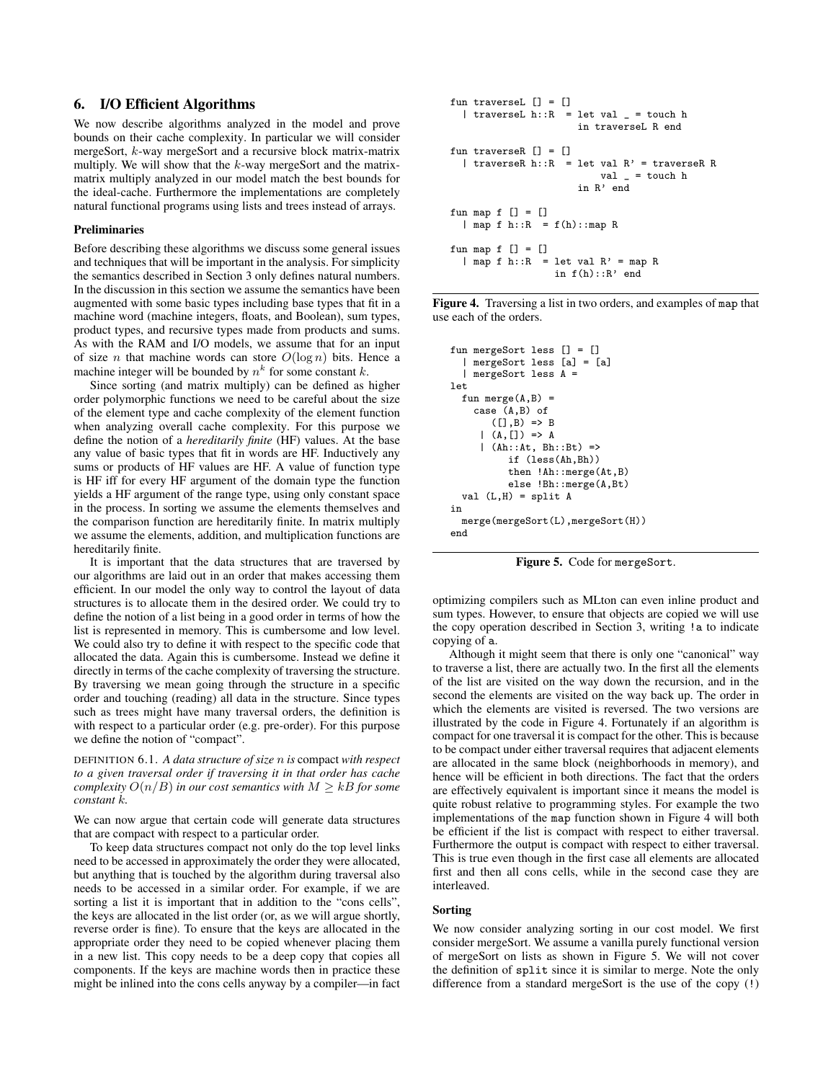# 6. I/O Efficient Algorithms

We now describe algorithms analyzed in the model and prove bounds on their cache complexity. In particular we will consider mergeSort, k-way mergeSort and a recursive block matrix-matrix multiply. We will show that the  $k$ -way mergeSort and the matrixmatrix multiply analyzed in our model match the best bounds for the ideal-cache. Furthermore the implementations are completely natural functional programs using lists and trees instead of arrays.

#### Preliminaries

Before describing these algorithms we discuss some general issues and techniques that will be important in the analysis. For simplicity the semantics described in Section 3 only defines natural numbers. In the discussion in this section we assume the semantics have been augmented with some basic types including base types that fit in a machine word (machine integers, floats, and Boolean), sum types, product types, and recursive types made from products and sums. As with the RAM and I/O models, we assume that for an input of size *n* that machine words can store  $O(\log n)$  bits. Hence a machine integer will be bounded by  $n^k$  for some constant k.

Since sorting (and matrix multiply) can be defined as higher order polymorphic functions we need to be careful about the size of the element type and cache complexity of the element function when analyzing overall cache complexity. For this purpose we define the notion of a *hereditarily finite* (HF) values. At the base any value of basic types that fit in words are HF. Inductively any sums or products of HF values are HF. A value of function type is HF iff for every HF argument of the domain type the function yields a HF argument of the range type, using only constant space in the process. In sorting we assume the elements themselves and the comparison function are hereditarily finite. In matrix multiply we assume the elements, addition, and multiplication functions are hereditarily finite.

It is important that the data structures that are traversed by our algorithms are laid out in an order that makes accessing them efficient. In our model the only way to control the layout of data structures is to allocate them in the desired order. We could try to define the notion of a list being in a good order in terms of how the list is represented in memory. This is cumbersome and low level. We could also try to define it with respect to the specific code that allocated the data. Again this is cumbersome. Instead we define it directly in terms of the cache complexity of traversing the structure. By traversing we mean going through the structure in a specific order and touching (reading) all data in the structure. Since types such as trees might have many traversal orders, the definition is with respect to a particular order (e.g. pre-order). For this purpose we define the notion of "compact".

DEFINITION 6.1. *A data structure of size* n *is* compact *with respect to a given traversal order if traversing it in that order has cache complexity*  $O(n/B)$  *in our cost semantics with*  $M \geq kB$  *for some constant* k*.*

We can now argue that certain code will generate data structures that are compact with respect to a particular order.

To keep data structures compact not only do the top level links need to be accessed in approximately the order they were allocated, but anything that is touched by the algorithm during traversal also needs to be accessed in a similar order. For example, if we are sorting a list it is important that in addition to the "cons cells", the keys are allocated in the list order (or, as we will argue shortly, reverse order is fine). To ensure that the keys are allocated in the appropriate order they need to be copied whenever placing them in a new list. This copy needs to be a deep copy that copies all components. If the keys are machine words then in practice these might be inlined into the cons cells anyway by a compiler—in fact

```
fun traverseL [1] = [1]| traverseL h::R = let val _ = touch h
                      in traverseL R end
fun traverseR [] = []
  | traverseR h::R = let val R' = traverseR Rval = touch h
                      in R' end
fun map f [] = []\mid map f h::R = f(h)::map R
fun map f [] = []| map f h::R = let val R' = map R
                  in f(h):R' end
```
Figure 4. Traversing a list in two orders, and examples of map that use each of the orders.

```
fun mergeSort less [] = []
  | mergeSort less [a] = [a]
  | mergeSort less A =
let
  fun merge(A, B) =
    case (A,B) of
       ([], B) \Rightarrow B|(A, []) \implies A| (Ah::At, Bh::Bt) =>
           if (less(Ah,Bh))
           then !Ah::merge(At,B)
           else !Bh::merge(A,Bt)
  val (L,H) = split A
in
  merge(mergeSort(L),mergeSort(H))
end
```
Figure 5. Code for mergeSort.

optimizing compilers such as MLton can even inline product and sum types. However, to ensure that objects are copied we will use the copy operation described in Section 3, writing !a to indicate copying of a.

Although it might seem that there is only one "canonical" way to traverse a list, there are actually two. In the first all the elements of the list are visited on the way down the recursion, and in the second the elements are visited on the way back up. The order in which the elements are visited is reversed. The two versions are illustrated by the code in Figure 4. Fortunately if an algorithm is compact for one traversal it is compact for the other. This is because to be compact under either traversal requires that adjacent elements are allocated in the same block (neighborhoods in memory), and hence will be efficient in both directions. The fact that the orders are effectively equivalent is important since it means the model is quite robust relative to programming styles. For example the two implementations of the map function shown in Figure 4 will both be efficient if the list is compact with respect to either traversal. Furthermore the output is compact with respect to either traversal. This is true even though in the first case all elements are allocated first and then all cons cells, while in the second case they are interleaved.

#### Sorting

We now consider analyzing sorting in our cost model. We first consider mergeSort. We assume a vanilla purely functional version of mergeSort on lists as shown in Figure 5. We will not cover the definition of split since it is similar to merge. Note the only difference from a standard mergeSort is the use of the copy (!)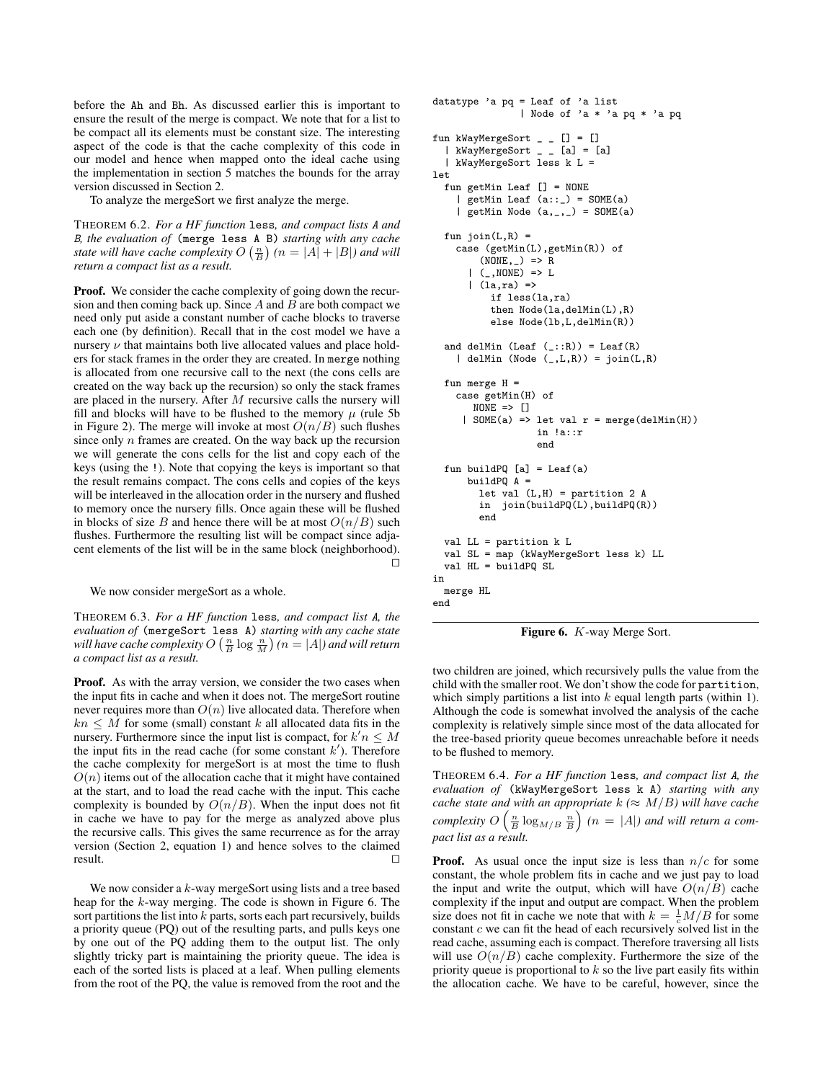before the Ah and Bh. As discussed earlier this is important to ensure the result of the merge is compact. We note that for a list to be compact all its elements must be constant size. The interesting aspect of the code is that the cache complexity of this code in our model and hence when mapped onto the ideal cache using the implementation in section 5 matches the bounds for the array version discussed in Section 2.

To analyze the mergeSort we first analyze the merge.

THEOREM 6.2. *For a HF function* less*, and compact lists* A *and* B*, the evaluation of* (merge less A B) *starting with any cache state will have cache complexity*  $O\left(\frac{n}{B}\right)$   $(n = |A| + |B|)$  *and will return a compact list as a result.*

Proof. We consider the cache complexity of going down the recursion and then coming back up. Since  $A$  and  $B$  are both compact we need only put aside a constant number of cache blocks to traverse each one (by definition). Recall that in the cost model we have a nursery  $\nu$  that maintains both live allocated values and place holders for stack frames in the order they are created. In merge nothing is allocated from one recursive call to the next (the cons cells are created on the way back up the recursion) so only the stack frames are placed in the nursery. After  $M$  recursive calls the nursery will fill and blocks will have to be flushed to the memory  $\mu$  (rule 5b) in Figure 2). The merge will invoke at most  $O(n/B)$  such flushes since only  $n$  frames are created. On the way back up the recursion we will generate the cons cells for the list and copy each of the keys (using the !). Note that copying the keys is important so that the result remains compact. The cons cells and copies of the keys will be interleaved in the allocation order in the nursery and flushed to memory once the nursery fills. Once again these will be flushed in blocks of size B and hence there will be at most  $O(n/B)$  such flushes. Furthermore the resulting list will be compact since adjacent elements of the list will be in the same block (neighborhood).  $\Box$ 

We now consider mergeSort as a whole.

THEOREM 6.3. *For a HF function* less*, and compact list* A*, the evaluation of* (mergeSort less A) *starting with any cache state* will have cache complexity  $O\left(\frac{n}{B}\log \frac{n}{M}\right)$   $(n=|A|)$  and will return *a compact list as a result.*

**Proof.** As with the array version, we consider the two cases when the input fits in cache and when it does not. The mergeSort routine never requires more than  $O(n)$  live allocated data. Therefore when  $kn \leq M$  for some (small) constant k all allocated data fits in the nursery. Furthermore since the input list is compact, for  $k'n \leq M$ the input fits in the read cache (for some constant  $k'$ ). Therefore the cache complexity for mergeSort is at most the time to flush  $O(n)$  items out of the allocation cache that it might have contained at the start, and to load the read cache with the input. This cache complexity is bounded by  $O(n/B)$ . When the input does not fit in cache we have to pay for the merge as analyzed above plus the recursive calls. This gives the same recurrence as for the array version (Section 2, equation 1) and hence solves to the claimed  $\Box$  result.

We now consider a k-way mergeSort using lists and a tree based heap for the k-way merging. The code is shown in Figure 6. The sort partitions the list into  $k$  parts, sorts each part recursively, builds a priority queue (PQ) out of the resulting parts, and pulls keys one by one out of the PQ adding them to the output list. The only slightly tricky part is maintaining the priority queue. The idea is each of the sorted lists is placed at a leaf. When pulling elements from the root of the PQ, the value is removed from the root and the

```
datatype 'a pq = Leaf of 'a list
               | Node of 'a * 'a pq * 'a pq
fun kWayMergeSort _ _ [] = []
  | kWayMergeSort _ _ [a] = [a]
  | kWayMergeSort less k L =
let
  fun getMin Leaf [] = NONE
    | getMin Leaf (a::_) = SOME(a)| getMin Node (a, _-, _-) = SOME(a)fun join(L,R) =case (getMin(L),getMin(R)) of
        (\texttt{NONE}, \_) \Rightarrow R(, NONE) => L
      |(la, ra)| =>
          if less(la,ra)
          then Node(la,delMin(L),R)
          else Node(lb,L,delMin(R))
  and delMin (Leaf (\_:\::\R)) = Leaf(R)| delMin (Node (_,L,R)) = join(L,R)
  fun merge H =case getMin(H) of
       NOTE => []| SOME(a) => let val r = merge(delMin(H))in !a::r
                   end
  fun buildPQ [a] = Leaf(a)
      buildPQ A =let val (L,H) = partition 2 A
        in join(buildPQ(L),buildPQ(R))
        end
  val LL = partition k L
  val SL = map (kWayMergeSort less k) LL
  val HL = buildPQ SL
in
  merge HL
end
```


two children are joined, which recursively pulls the value from the child with the smaller root. We don't show the code for partition, which simply partitions a list into  $k$  equal length parts (within 1). Although the code is somewhat involved the analysis of the cache complexity is relatively simple since most of the data allocated for the tree-based priority queue becomes unreachable before it needs to be flushed to memory.

THEOREM 6.4. *For a HF function* less*, and compact list* A*, the evaluation of* (kWayMergeSort less k A) *starting with any cache state and with an appropriate*  $k \approx M/B$ *) will have cache* complexity  $O\left(\frac{n}{B}\log_{M/B} \frac{n}{B}\right)$   $(n = |A|)$  and will return a com*pact list as a result.*

**Proof.** As usual once the input size is less than  $n/c$  for some constant, the whole problem fits in cache and we just pay to load the input and write the output, which will have  $O(n/B)$  cache complexity if the input and output are compact. When the problem size does not fit in cache we note that with  $k = \frac{1}{c}M/B$  for some constant  $c$  we can fit the head of each recursively solved list in the read cache, assuming each is compact. Therefore traversing all lists will use  $O(n/B)$  cache complexity. Furthermore the size of the priority queue is proportional to  $k$  so the live part easily fits within the allocation cache. We have to be careful, however, since the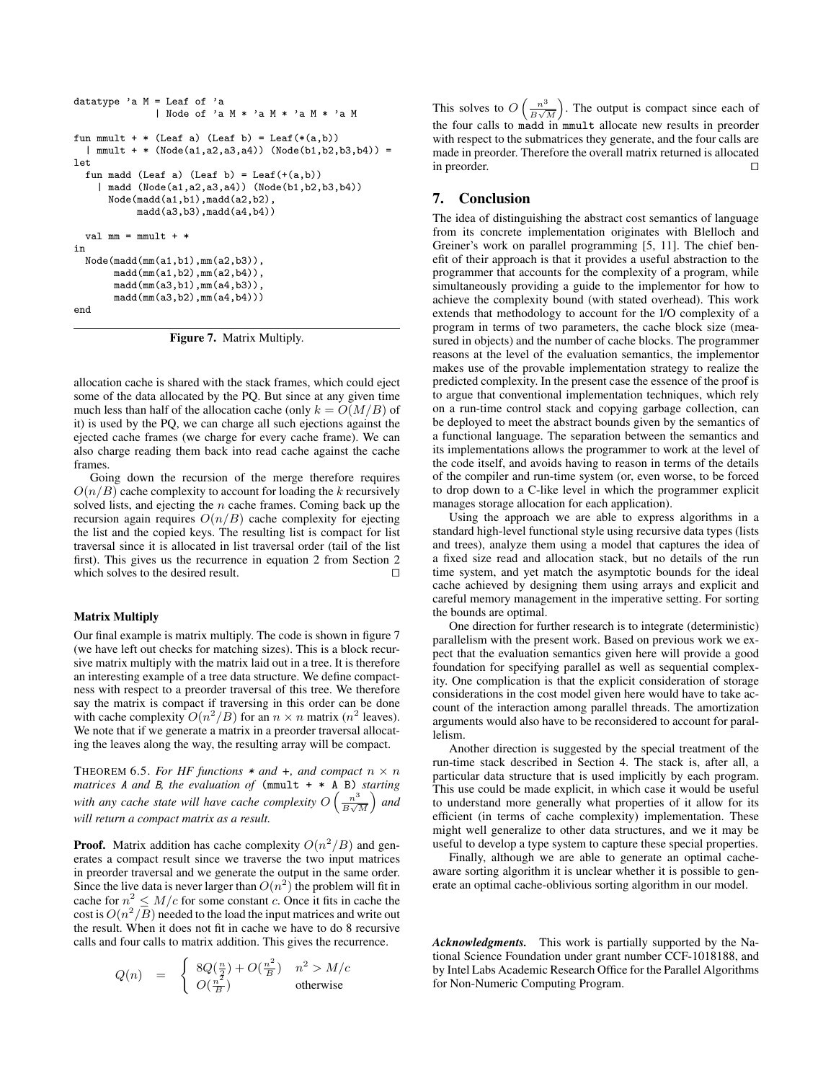```
datatype 'a M = Leaf of 'a
              | Node of 'a M * 'a M * 'a M * 'a M
fun mmult + * (Leaf a) (Leaf b) = Leaf(*(a,b))
 | mmult + * (Node(a1,a2,a3,a4)) (Node(b1,b2,b3,b4)) =
let
 fun madd (Leaf a) (Leaf b) = Leaf(+(a,b))| madd (Node(a1,a2,a3,a4)) (Node(b1,b2,b3,b4))
     Node(madd(a1,b1),madd(a2,b2),
           madd(a3,b3),madd(a4,b4))
 val mm = mmult + *in
 Node(madd(mm(a1,b1),mm(a2,b3)),
       madd(mm(a1,b2),mm(a2,b4)),
       madd(mm(a3,b1),mm(a4,b3)),
       madd(mm(a3,b2),mm(a4,b4)))
```
end

Figure 7. Matrix Multiply.

allocation cache is shared with the stack frames, which could eject some of the data allocated by the PQ. But since at any given time much less than half of the allocation cache (only  $k = O(M/B)$  of it) is used by the PQ, we can charge all such ejections against the ejected cache frames (we charge for every cache frame). We can also charge reading them back into read cache against the cache frames.

Going down the recursion of the merge therefore requires  $O(n/B)$  cache complexity to account for loading the k recursively solved lists, and ejecting the  $n$  cache frames. Coming back up the recursion again requires  $O(n/B)$  cache complexity for ejecting the list and the copied keys. The resulting list is compact for list traversal since it is allocated in list traversal order (tail of the list first). This gives us the recurrence in equation 2 from Section 2 which solves to the desired result.  $\Box$ 

### Matrix Multiply

Our final example is matrix multiply. The code is shown in figure 7 (we have left out checks for matching sizes). This is a block recursive matrix multiply with the matrix laid out in a tree. It is therefore an interesting example of a tree data structure. We define compactness with respect to a preorder traversal of this tree. We therefore say the matrix is compact if traversing in this order can be done with cache complexity  $O(n^2/B)$  for an  $n \times n$  matrix  $(n^2$  leaves). We note that if we generate a matrix in a preorder traversal allocating the leaves along the way, the resulting array will be compact.

THEOREM 6.5. For HF functions  $*$  and  $*$ , and compact  $n \times n$ *matrices* A *and* B*, the evaluation of* (mmult + \* A B) *starting* with any cache state will have cache complexity  $O\left(\frac{n^3}{R}\right)$  $\frac{n^3}{B\sqrt{M}}$  and *will return a compact matrix as a result.*

**Proof.** Matrix addition has cache complexity  $O(n^2/B)$  and generates a compact result since we traverse the two input matrices in preorder traversal and we generate the output in the same order. Since the live data is never larger than  $O(n^2)$  the problem will fit in cache for  $n^2 \leq M/c$  for some constant c. Once it fits in cache the cost is  $O(n^2/B)$  needed to the load the input matrices and write out the result. When it does not fit in cache we have to do 8 recursive calls and four calls to matrix addition. This gives the recurrence.

$$
Q(n) = \begin{cases} 8Q(\frac{n}{2}) + O(\frac{n^2}{B}) & n^2 > M/c\\ O(\frac{n^2}{B}) & \text{otherwise} \end{cases}
$$

This solves to  $O\left(\frac{n^3}{R}\right)$  $\frac{n^3}{B\sqrt{M}}$ . The output is compact since each of the four calls to madd in mmult allocate new results in preorder with respect to the submatrices they generate, and the four calls are made in preorder. Therefore the overall matrix returned is allocated in preorder.  $\Box$ 

# 7. Conclusion

The idea of distinguishing the abstract cost semantics of language from its concrete implementation originates with Blelloch and Greiner's work on parallel programming [5, 11]. The chief benefit of their approach is that it provides a useful abstraction to the programmer that accounts for the complexity of a program, while simultaneously providing a guide to the implementor for how to achieve the complexity bound (with stated overhead). This work extends that methodology to account for the I/O complexity of a program in terms of two parameters, the cache block size (measured in objects) and the number of cache blocks. The programmer reasons at the level of the evaluation semantics, the implementor makes use of the provable implementation strategy to realize the predicted complexity. In the present case the essence of the proof is to argue that conventional implementation techniques, which rely on a run-time control stack and copying garbage collection, can be deployed to meet the abstract bounds given by the semantics of a functional language. The separation between the semantics and its implementations allows the programmer to work at the level of the code itself, and avoids having to reason in terms of the details of the compiler and run-time system (or, even worse, to be forced to drop down to a C-like level in which the programmer explicit manages storage allocation for each application).

Using the approach we are able to express algorithms in a standard high-level functional style using recursive data types (lists and trees), analyze them using a model that captures the idea of a fixed size read and allocation stack, but no details of the run time system, and yet match the asymptotic bounds for the ideal cache achieved by designing them using arrays and explicit and careful memory management in the imperative setting. For sorting the bounds are optimal.

One direction for further research is to integrate (deterministic) parallelism with the present work. Based on previous work we expect that the evaluation semantics given here will provide a good foundation for specifying parallel as well as sequential complexity. One complication is that the explicit consideration of storage considerations in the cost model given here would have to take account of the interaction among parallel threads. The amortization arguments would also have to be reconsidered to account for parallelism.

Another direction is suggested by the special treatment of the run-time stack described in Section 4. The stack is, after all, a particular data structure that is used implicitly by each program. This use could be made explicit, in which case it would be useful to understand more generally what properties of it allow for its efficient (in terms of cache complexity) implementation. These might well generalize to other data structures, and we it may be useful to develop a type system to capture these special properties.

Finally, although we are able to generate an optimal cacheaware sorting algorithm it is unclear whether it is possible to generate an optimal cache-oblivious sorting algorithm in our model.

*Acknowledgments.* This work is partially supported by the National Science Foundation under grant number CCF-1018188, and by Intel Labs Academic Research Office for the Parallel Algorithms for Non-Numeric Computing Program.